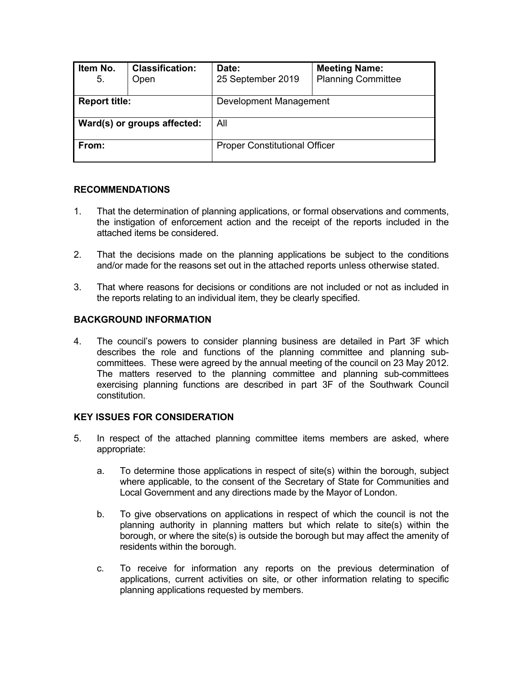| Item No.<br>5.              | <b>Classification:</b><br>Open | Date:<br>25 September 2019           | <b>Meeting Name:</b><br><b>Planning Committee</b> |  |
|-----------------------------|--------------------------------|--------------------------------------|---------------------------------------------------|--|
| <b>Report title:</b>        |                                | Development Management               |                                                   |  |
| Ward(s) or groups affected: |                                | All                                  |                                                   |  |
| From:                       |                                | <b>Proper Constitutional Officer</b> |                                                   |  |

#### **RECOMMENDATIONS**

- 1. That the determination of planning applications, or formal observations and comments, the instigation of enforcement action and the receipt of the reports included in the attached items be considered.
- 2. That the decisions made on the planning applications be subject to the conditions and/or made for the reasons set out in the attached reports unless otherwise stated.
- 3. That where reasons for decisions or conditions are not included or not as included in the reports relating to an individual item, they be clearly specified.

### **BACKGROUND INFORMATION**

4. The council's powers to consider planning business are detailed in Part 3F which describes the role and functions of the planning committee and planning subcommittees. These were agreed by the annual meeting of the council on 23 May 2012. The matters reserved to the planning committee and planning sub-committees exercising planning functions are described in part 3F of the Southwark Council constitution.

#### **KEY ISSUES FOR CONSIDERATION**

- 5. In respect of the attached planning committee items members are asked, where appropriate:
	- a. To determine those applications in respect of site(s) within the borough, subject where applicable, to the consent of the Secretary of State for Communities and Local Government and any directions made by the Mayor of London.
	- b. To give observations on applications in respect of which the council is not the planning authority in planning matters but which relate to site(s) within the borough, or where the site(s) is outside the borough but may affect the amenity of residents within the borough.
	- c. To receive for information any reports on the previous determination of applications, current activities on site, or other information relating to specific planning applications requested by members.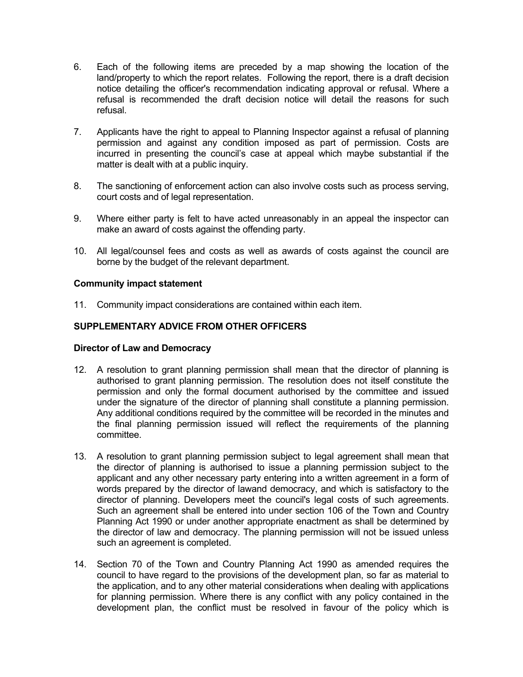- 6. Each of the following items are preceded by a map showing the location of the land/property to which the report relates. Following the report, there is a draft decision notice detailing the officer's recommendation indicating approval or refusal. Where a refusal is recommended the draft decision notice will detail the reasons for such refusal.
- 7. Applicants have the right to appeal to Planning Inspector against a refusal of planning permission and against any condition imposed as part of permission. Costs are incurred in presenting the council's case at appeal which maybe substantial if the matter is dealt with at a public inquiry.
- 8. The sanctioning of enforcement action can also involve costs such as process serving, court costs and of legal representation.
- 9. Where either party is felt to have acted unreasonably in an appeal the inspector can make an award of costs against the offending party.
- 10. All legal/counsel fees and costs as well as awards of costs against the council are borne by the budget of the relevant department.

#### **Community impact statement**

11. Community impact considerations are contained within each item.

## **SUPPLEMENTARY ADVICE FROM OTHER OFFICERS**

#### **Director of Law and Democracy**

- 12. A resolution to grant planning permission shall mean that the director of planning is authorised to grant planning permission. The resolution does not itself constitute the permission and only the formal document authorised by the committee and issued under the signature of the director of planning shall constitute a planning permission. Any additional conditions required by the committee will be recorded in the minutes and the final planning permission issued will reflect the requirements of the planning committee.
- 13. A resolution to grant planning permission subject to legal agreement shall mean that the director of planning is authorised to issue a planning permission subject to the applicant and any other necessary party entering into a written agreement in a form of words prepared by the director of lawand democracy, and which is satisfactory to the director of planning. Developers meet the council's legal costs of such agreements. Such an agreement shall be entered into under section 106 of the Town and Country Planning Act 1990 or under another appropriate enactment as shall be determined by the director of law and democracy. The planning permission will not be issued unless such an agreement is completed.
- 14. Section 70 of the Town and Country Planning Act 1990 as amended requires the council to have regard to the provisions of the development plan, so far as material to the application, and to any other material considerations when dealing with applications for planning permission. Where there is any conflict with any policy contained in the development plan, the conflict must be resolved in favour of the policy which is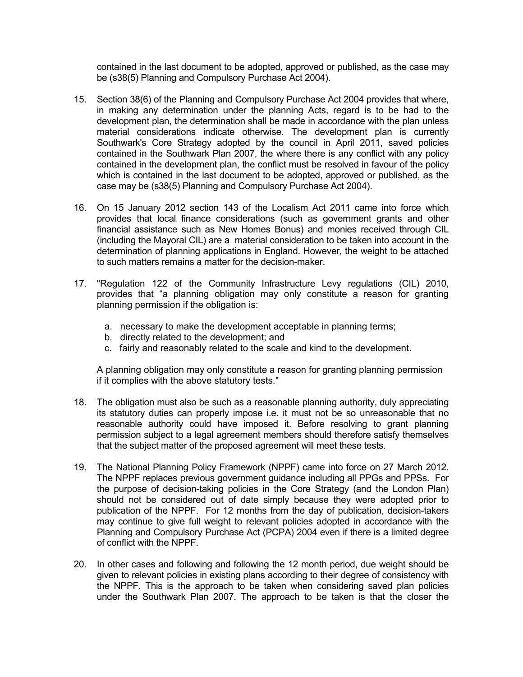contained in the last document to be adopted, approved or published, as the case may be (s38(5) Planning and Compulsory Purchase Act 2004).

- 15. Section 38(6) of the Planning and Compulsory Purchase Act 2004 provides that where, in making any determination under the planning Acts, regard is to be had to the development plan, the determination shall be made in accordance with the plan unless material considerations indicate otherwise. The development plan is currently Southwark's Core Strategy adopted by the council in April 2011, saved policies contained in the Southwark Plan 2007, the where there is any conflict with any policy contained in the development plan, the conflict must be resolved in favour of the policy which is contained in the last document to be adopted, approved or published, as the case may be (s38(5) Planning and Compulsory Purchase Act 2004).
- 16. On 15 January 2012 section 143 of the Localism Act 2011 came into force which provides that local finance considerations (such as government grants and other financial assistance such as New Homes Bonus) and monies received through CIL (including the Mayoral CIL) are a material consideration to be taken into account in the determination of planning applications in England. However, the weight to be attached to such matters remains a matter for the decision-maker.
- 17. "Regulation 122 of the Community Infrastructure Levy regulations (CIL) 2010, provides that "a planning obligation may only constitute a reason for granting planning permission if the obligation is:
	- a. necessary to make the development acceptable in planning terms;
	- b. directly related to the development; and
	- c. fairly and reasonably related to the scale and kind to the development.

A planning obligation may only constitute a reason for granting planning permission if it complies with the above statutory tests."

- 18. The obligation must also be such as a reasonable planning authority, duly appreciating its statutory duties can properly impose i.e. it must not be so unreasonable that no reasonable authority could have imposed it. Before resolving to grant planning permission subject to a legal agreement members should therefore satisfy themselves that the subject matter of the proposed agreement will meet these tests.
- 19. The National Planning Policy Framework (NPPF) came into force on 27 March 2012. The NPPF replaces previous government guidance including all PPGs and PPSs. For the purpose of decision-taking policies in the Core Strategy (and the London Plan) should not be considered out of date simply because they were adopted prior to publication of the NPPF. For 12 months from the day of publication, decision-takers may continue to give full weight to relevant policies adopted in accordance with the Planning and Compulsory Purchase Act (PCPA) 2004 even if there is a limited degree of conflict with the NPPF.
- 20. In other cases and following and following the 12 month period, due weight should be given to relevant policies in existing plans according to their degree of consistency with the NPPF. This is the approach to be taken when considering saved plan policies under the Southwark Plan 2007. The approach to be taken is that the closer the